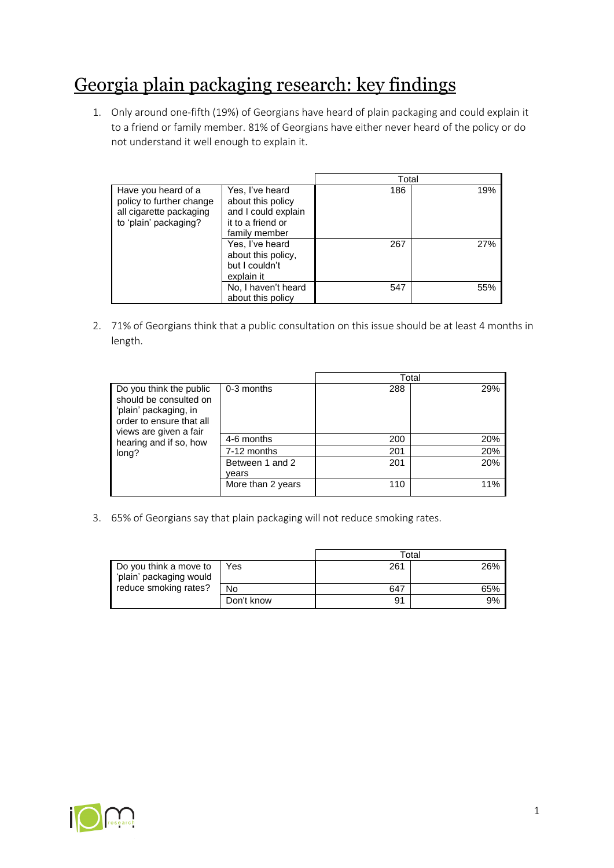## Georgia plain packaging research: key findings

1. Only around one-fifth (19%) of Georgians have heard of plain packaging and could explain it to a friend or family member. 81% of Georgians have either never heard of the policy or do not understand it well enough to explain it.

|                                                                                                     |                                                                                                                      | Total      |            |
|-----------------------------------------------------------------------------------------------------|----------------------------------------------------------------------------------------------------------------------|------------|------------|
| Have you heard of a<br>policy to further change<br>all cigarette packaging<br>to 'plain' packaging? | Yes, I've heard<br>about this policy<br>and I could explain<br>it to a friend or<br>family member<br>Yes, I've heard | 186<br>267 | 19%<br>27% |
|                                                                                                     | about this policy.<br>but I couldn't<br>explain it                                                                   |            |            |
|                                                                                                     | No, I haven't heard<br>about this policy                                                                             | 547        | 55%        |

2. 71% of Georgians think that a public consultation on this issue should be at least 4 months in length.

|                                                                                                                                                                     |                          |     | Total |
|---------------------------------------------------------------------------------------------------------------------------------------------------------------------|--------------------------|-----|-------|
| Do you think the public<br>should be consulted on<br>'plain' packaging, in<br>order to ensure that all<br>views are given a fair<br>hearing and if so, how<br>long? | 0-3 months               | 288 | 29%   |
|                                                                                                                                                                     | 4-6 months               | 200 | 20%   |
|                                                                                                                                                                     | 7-12 months              | 201 | 20%   |
|                                                                                                                                                                     | Between 1 and 2<br>vears | 201 | 20%   |
|                                                                                                                                                                     | More than 2 years        | 110 | 11%   |

3. 65% of Georgians say that plain packaging will not reduce smoking rates.

|                                                   |            |     | Total |
|---------------------------------------------------|------------|-----|-------|
| Do you think a move to<br>'plain' packaging would | Yes        | 261 | 26%   |
| reduce smoking rates?                             | No         | 647 |       |
|                                                   | Don't know | 91  | 9%    |

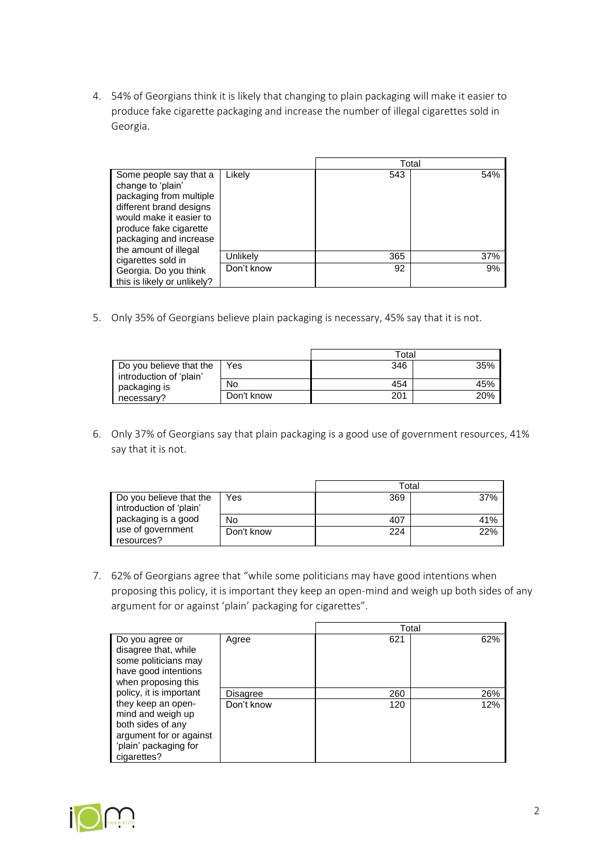4. 54% of Georgians think it is likely that changing to plain packaging will make it easier to produce fake cigarette packaging and increase the number of illegal cigarettes sold in Georgia.

|                                                                                                                                                                                                           |            | Total |     |
|-----------------------------------------------------------------------------------------------------------------------------------------------------------------------------------------------------------|------------|-------|-----|
| Some people say that a<br>change to 'plain'<br>packaging from multiple<br>different brand designs<br>would make it easier to<br>produce fake cigarette<br>packaging and increase<br>the amount of illegal | Likely     | 543   | 54% |
| cigarettes sold in                                                                                                                                                                                        | Unlikely   | 365   | 37% |
| Georgia. Do you think<br>this is likely or unlikely?                                                                                                                                                      | Don't know | 92    | 9%  |

5. Only 35% of Georgians believe plain packaging is necessary, 45% say that it is not.

|                                                    |            | Total |     |
|----------------------------------------------------|------------|-------|-----|
| Do you believe that the<br>introduction of 'plain' | Yes        | 346   | 35% |
| packaging is                                       | No         | 454   | 45% |
| necessary?                                         | Don't know | 201   | 20% |

6. Only 37% of Georgians say that plain packaging is a good use of government resources, 41% say that it is not.

|                                                    |            | Total |     |
|----------------------------------------------------|------------|-------|-----|
| Do you believe that the<br>introduction of 'plain' | Yes        | 369   | 37% |
| packaging is a good                                | No         | 407   | 41% |
| use of government<br>resources?                    | Don't know | 224   | 22% |

7. 62% of Georgians agree that "while some politicians may have good intentions when proposing this policy, it is important they keep an open-mind and weigh up both sides of any argument for or against 'plain' packaging for cigarettes".

|                                                                                                                                 |            |     | Total |  |
|---------------------------------------------------------------------------------------------------------------------------------|------------|-----|-------|--|
| Do you agree or<br>disagree that, while<br>some politicians may<br>have good intentions<br>when proposing this                  | Agree      | 621 | 62%   |  |
| policy, it is important                                                                                                         | Disagree   | 260 | 26%   |  |
| they keep an open-<br>mind and weigh up<br>both sides of any<br>argument for or against<br>'plain' packaging for<br>cigarettes? | Don't know | 120 | 12%   |  |